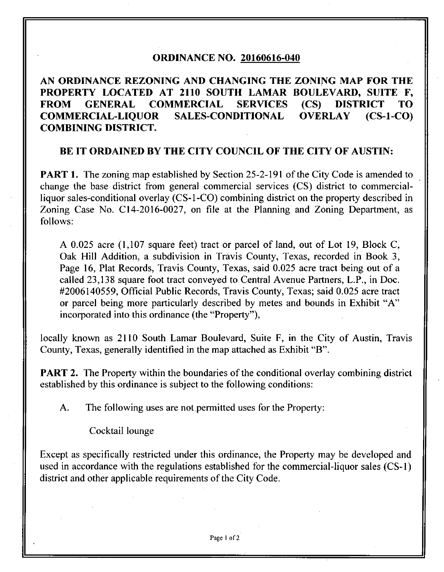### **ORDINANCE NO. 20160616-040**

# **AN ORDINANCE REZONING AND CHANGING THE ZONING MAP FOR THE PROPERTY LOCATED AT 2110 SOUTH LAMAR BOULEVARD, SUITE F, FROM GENERAL COMMERCIAL SERVICES (CS) DISTRICT TO COMMERCIAL-LIQUOR SALES-CONDITIONAL OVERLAY (CS-l-CO) COMBINING DISTRICT.**

## **BE IT ORDAINED BY THE CITY COUNCIL OF THE CITY OF AUSTIN:**

**PART 1.** The zoning map established by Section 25-2-191 of the City Code is amended to change the base district from general commercial services (CS) district to commercialliquor sales-conditional overlay (CS-l-CO) combining district on the property described in Zoning Case No. CI4-2016-0027, on file at the Planning and Zoning Department, as follows:

A 0.025 acre (1,107 square feet) tract or parcel of land, out of Lot 19, Block C, Oak Hill Addition, a subdivision in Travis County, Texas, recorded in Book 3, Page 16, Plat Records, Travis County, Texas, said 0.025 acre tract being out of a called 23,138 square foot tract conveyed to Central Avenue Partners, L.P., in Doc. #2006140559, Official Public Records, Travis County, Texas; said 0.025 acre tract or parcel being more particularly described by metes and bounds in Exhibit "A" incorporated into this ordinance (the "Property"),

locally known as 2110 South Lamar Boulevard, Suite F, in the City of Austin, Travis County, Texas, generally identified in the map attached as Exhibit "B".

**PART 2.** The Property within the boundaries of the conditional overlay combining district established by this ordinance is subject to the following conditions:

A. The following uses are not permitted uses for the Property:

Cocktail lounge

Except as specifically restricted under this ordinance, the Property may be developed and used in accordance with the regulations established for the commercial-liquor sales (CS-1) district and other applicable requirements of the City Code.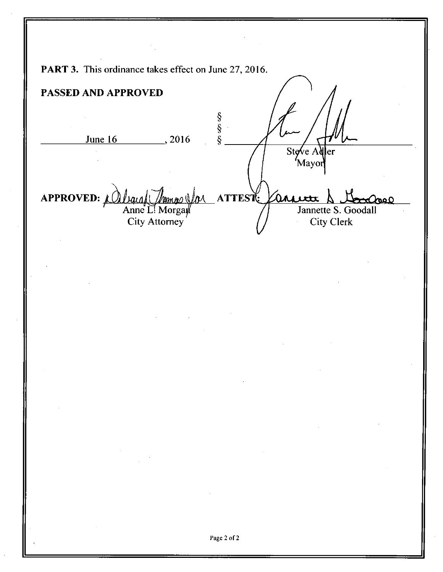PART 3. This ordinance takes effect on June 27, 2016. **PASSED AND APPROVED**  §<br>§<br>§ June 16 2016 Stove  $A\delta$ 'Mayor **APPROVED: ATTES^**  lan Jannette S. Goodall Anne L! Morgar City Attorney City Clerk Page 2 of 2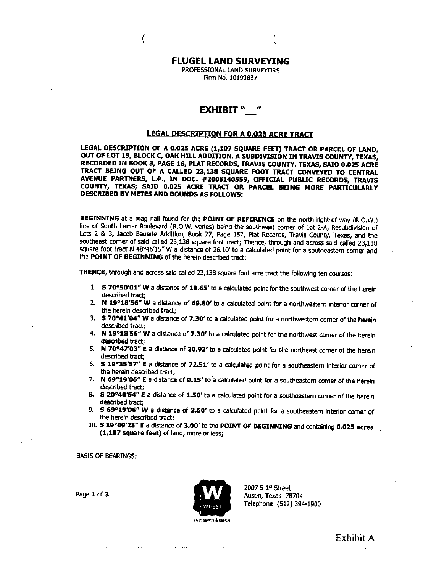#### **FLUGEL LAND SURVEYING**

**(** 

PROFESSIONAL LAND SURVEYORS Firm No. 10193837

#### **EXHIBIT " "**

#### **LEGAL DESCRIPTION FOR A 0.025 ACRE TRACT**

**LEGAL DESCRIPTION OF A 0.025 ACRE (1,107 SQUARE FEET) TRACT OR PARCEL OF LAND, OUT OF LOT 19, BLOCK C, OAK HILL ADDITION, A SUBDIVISION IN TRAVIS COUNTY, TEXAS, RECORDED IN BOOK 3, PAGE 16, PLAT RECORDS, TRAVIS COUNTY, TEXAS, SAID 0.025 ACRE TRACT BEING OUT OF A CALLED 23,138 SQUARE FOOT TRACT CONVEYED TO CENTRAL AVENUE PARTNERS, L.P., IN DOC. #2006140559, OFFICIAL PUBUC RECORDS, TRAVIS COUNTY, TEXAS; SAID 0.025 ACRE TRACT OR PARCEL BEING MORE PARTICULARLY DESCRIBED BY METES AND BOUNDS AS FOLLOWS:** 

BEGINNING at a mag nail found for the POINT OF REFERENCE on the north right-of-way (R.O.W.) line of South Lamar Boulevard (R.O.W. varies) being the southwest corner of Lot 2-A, Resubdivision of Lots 2 & 3, Jacob Bauerle Addition, Book 77, Page 157, Plat Records, Travis County, Texas, and the southeast corner of said called 23,138 square foot tract; Thence, through and across said called 23,138 square foot tract N 48°46'15" W a distance of 26.10' to a calculated point for a southeastern corner and the POINT OF BEGINNING of the herein described tract;

THENCE, through and across said called 23,138 square foot acre tract the following ten courses:

- 1. S 70°50'01" W a distance of 10.65' to a calculated point for the southwest comer of the herein described tract;
- 2. N 19°18'56" W a distance of 69.80' to a calculated point for a northwestern interior corner of the herein described tract;
- 3. S 70'41'04'' W a distance of 7.30' to a calculated point for a northwestem corner of the herein described tract;
- 4. N 19°18'56" W a distance of 7.30' to a calculated point for the northwest corner of the herein described tract;
- 5. N 70°47'03" E a distance of 20.92' to a calculated point for the northeast corner of the herein described tract;
- 6. S 19»35'57" E a distance of 72.51' to a calculated point for a southeastern interior comer of the herein described tract;
- 7. N 69°19'06" E a distance of 0.15' to a calculated point for a southeastern comer of the herein described tract;
- 8. S 20°40'54" E a distance of 1.50' to a calculated point for a southeastern corner of the herein described tract;
- 9. S 69°19'06" W a distance of 3.50' to a calculated point for a southeastern interior comer of the herein described tract;
- 10. S 19°09'23" E a distance of 3.00' to the POINT OF BEGINNING and containing 0.025 acres (1,107 square feet) of land, more or less;

BASIS OF BEARINGS:



2007 S 1" Street

**Exhibit A**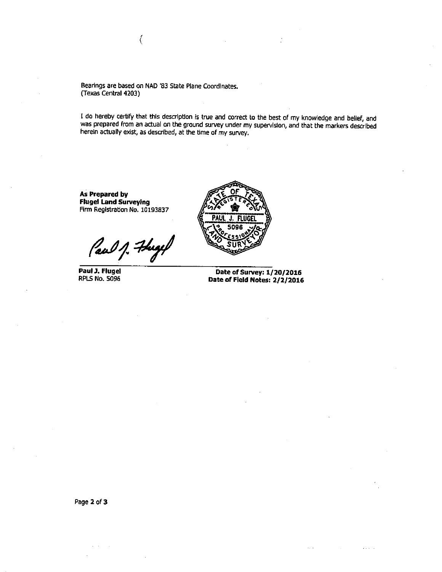Bearings are based on NAD '83 State Plane Coordinates. (Texas Central 4203)

₹

I do hereby certify that this description is true and correct to the best of my knowledge and belief, and was prepared from an actual on the ground survey under my supervision, and that the markers described herein actually exist, as described, at the time of my survey.

**As Prepared by Flugei Land Surveying**  Firm Registration No. 10193837

Caul 1. Freyel

**Paul J. Flugei**  RPLS No. 5096



**Date of Survey: 1/20/2016 Date of Field Notes: 2/2/2016** 

Page 2 of 3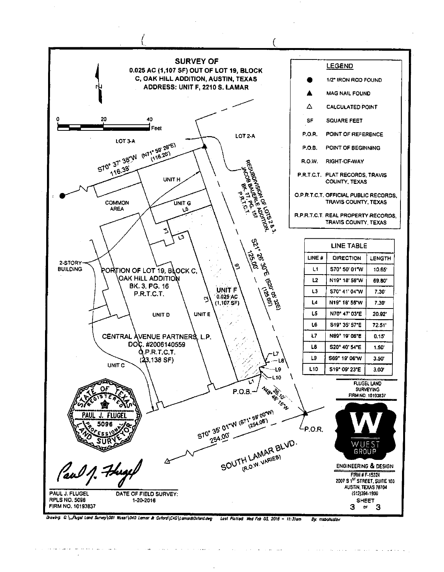

Drawing: @ \\_Flugel Land Survey\001 Huest\040 Lamar & Oxford\CAD\Lamar&Oxford.dwg Last Plotted: Wed Feb 03, 2016 - 11:31am By maiohuslav

يوارده فالأنوان والتوارد والمتواطنة والتواصل والمتحدث والمتحدث